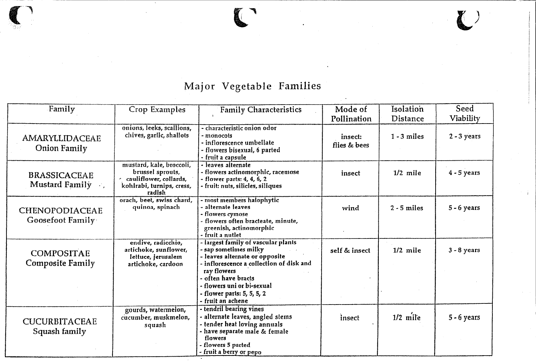## Major Vegetable Families

**l)**

 $\bullet$ 

|               | Family                                       | Crop Examples                                                                                                 | <b>Family Characteristics</b>                                                                                                                                                                                                                             | Mode of                 | Isolation     | Seed          |
|---------------|----------------------------------------------|---------------------------------------------------------------------------------------------------------------|-----------------------------------------------------------------------------------------------------------------------------------------------------------------------------------------------------------------------------------------------------------|-------------------------|---------------|---------------|
|               |                                              |                                                                                                               |                                                                                                                                                                                                                                                           | Pollination             | Distance      | Viability     |
|               | AMARYLLIDACEAE<br><b>Onion Family</b>        | onions, leeks, scallions,<br>chives, garlic, shallots                                                         | - characteristic onion odor<br>- monocots<br>- inflorescence umbellate<br>- flowers bisexual, 6 parted<br>- fruit a capsule                                                                                                                               | insect:<br>flies & bees | $1 - 3$ miles | $2 - 3$ years |
|               | <b>BRASSICACEAE</b><br>Mustard Family        | mustard, kale, broccoli,<br>brussel sprouts,<br>cauliflower, collards,<br>kohlrabi, turnips, cress,<br>radish | · leaves alternate<br>- flowers actinomorphic, racemose<br>- flower parts: 4, 4, 6, 2<br>- fruit: nuts, silicles, siliques                                                                                                                                | insect                  | $1/2$ mile    | $4 - 5$ years |
|               | <b>CHENOPODIACEAE</b><br>Goosefoot Family    | orach, beet, swiss chard,<br>quinoa, spinach                                                                  | - most members halophytic<br>alternate leaves<br>flowers cymose .<br>flowers often bracteate, minute,<br>greenish, actinomorphic<br>- fruit a nutlet                                                                                                      | wind                    | $2 - 5$ miles | $5 - 6$ years |
|               | <b>COMPOSITAE</b><br><b>Composite Family</b> | endive, radicchio,<br>artichoke, sunflower,<br>lettuce, jerusalem<br>artichoke, cardoon                       | Iargest family of vascular plants<br>- sap sometimes milky<br>leaves alternate or opposite<br>- inflorescence a collection of disk and<br>ray flowers<br>often have bracts<br>- flowers uni or bi-sexual<br>. flower parts: 5, 5, 5, 2<br>fruit an achene | self & insect           | $1/2$ mile    | $3 - 8$ years |
| Squash family | <b>CUCURBITACEAE</b>                         | gourds, watermelon,<br>cucumber, muskmelon,<br>squash                                                         | tendril bearing vines<br>- alternate leaves, angled stems<br>tender heat loving annuals -<br>- have separate male & female<br>flowers<br>flowers 5 parted<br>- fruit a berry or pepo                                                                      | insect                  | $1/2$ mile    | $5 - 6$ years |